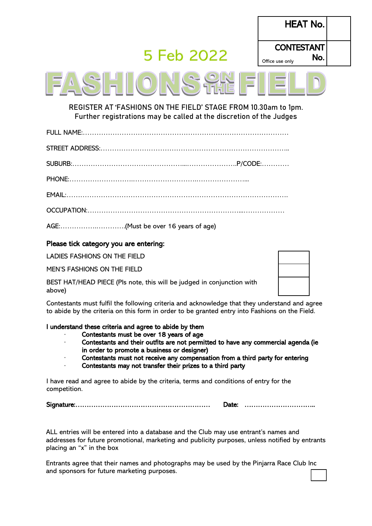# 5 Feb 2022

| <b>HEAT No.</b>         |  |
|-------------------------|--|
| <b>CONTESTANT</b>       |  |
| No. <br>Office use only |  |
|                         |  |

**REGISTER AT 'FASHIONS ON THE FIELD' STAGE FROM 10.30am to 1pm. Further registrations may be called at the discretion of the Judges**

|--|

|--|--|

PHONE:……………………….……………………….…………………...

EMAIL:…………………………………………………………………………………….

|--|--|--|

AGE:…………….………….(Must be over 16 years of age)

#### Please tick category you are entering:

LADIES FASHIONS ON THE FIELD

MEN'S FASHIONS ON THE FIELD

BEST HAT/HEAD PIECE (Pls note, this will be judged in conjunction with above)

Contestants must fulfil the following criteria and acknowledge that they understand and agree to abide by the criteria on this form in order to be granted entry into Fashions on the Field.

#### I understand these criteria and agree to abide by them

- Contestants must be over 18 years of age
- · Contestants and their outfits are not permitted to have any commercial agenda (ie in order to promote a business or designer)
- Contestants must not receive any compensation from a third party for entering
- Contestants may not transfer their prizes to a third party

I have read and agree to abide by the criteria, terms and conditions of entry for the competition.

Signature:…………………………………………………… Date: …………………………..

ALL entries will be entered into a database and the Club may use entrant's names and addresses for future promotional, marketing and publicity purposes, unless notified by entrants placing an "x" in the box

Entrants agree that their names and photographs may be used by the Pinjarra Race Club Inc and sponsors for future marketing purposes.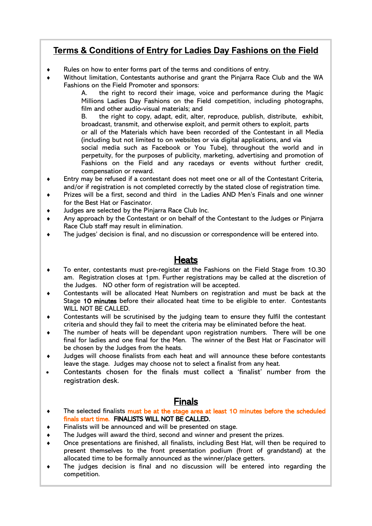# **Terms & Conditions of Entry for Ladies Day Fashions on the Field**

- Rules on how to enter forms part of the terms and conditions of entry.
- Without limitation, Contestants authorise and grant the Pinjarra Race Club and the WA Fashions on the Field Promoter and sponsors:

A. the right to record their image, voice and performance during the Magic Millions Ladies Day Fashions on the Field competition, including photographs, film and other audio-visual materials; and

B. the right to copy, adapt, edit, alter, reproduce, publish, distribute, exhibit, broadcast, transmit, and otherwise exploit, and permit others to exploit, parts or all of the Materials which have been recorded of the Contestant in all Media (including but not limited to on websites or via digital applications, and via

social media such as Facebook or You Tube), throughout the world and in perpetuity, for the purposes of publicity, marketing, advertising and promotion of Fashions on the Field and any racedays or events without further credit, compensation or reward.

- Entry may be refused if a contestant does not meet one or all of the Contestant Criteria, and/or if registration is not completed correctly by the stated close of registration time.
- Prizes will be a first, second and third in the Ladies AND Men's Finals and one winner for the Best Hat or Fascinator.
- Judges are selected by the Pinjarra Race Club Inc.
- Any approach by the Contestant or on behalf of the Contestant to the Judges or Pinjarra Race Club staff may result in elimination.
- The judges' decision is final, and no discussion or correspondence will be entered into.

# Heats

- To enter, contestants must pre-register at the Fashions on the Field Stage from 10.30 am. Registration closes at 1pm. Further registrations may be called at the discretion of the Judges. NO other form of registration will be accepted.
- Contestants will be allocated Heat Numbers on registration and must be back at the Stage 10 minutes before their allocated heat time to be eligible to enter. Contestants WILL NOT BE CALLED.
- Contestants will be scrutinised by the judging team to ensure they fulfil the contestant criteria and should they fail to meet the criteria may be eliminated before the heat.
- The number of heats will be dependant upon registration numbers. There will be one final for ladies and one final for the Men. The winner of the Best Hat or Fascinator will be chosen by the Judges from the heats.
- Judges will choose finalists from each heat and will announce these before contestants leave the stage. Judges may choose not to select a finalist from any heat.
- Contestants chosen for the finals must collect a 'finalist' number from the registration desk.

## Finals

- The selected finalists must be at the stage area at least 10 minutes before the scheduled finals start time. FINALISTS WILL NOT BE CALLED.
- Finalists will be announced and will be presented on stage.
- The Judges will award the third, second and winner and present the prizes.
- Once presentations are finished, all finalists, including Best Hat, will then be required to present themselves to the front presentation podium (front of grandstand) at the allocated time to be formally announced as the winner/place getters.
- The judges decision is final and no discussion will be entered into regarding the competition.